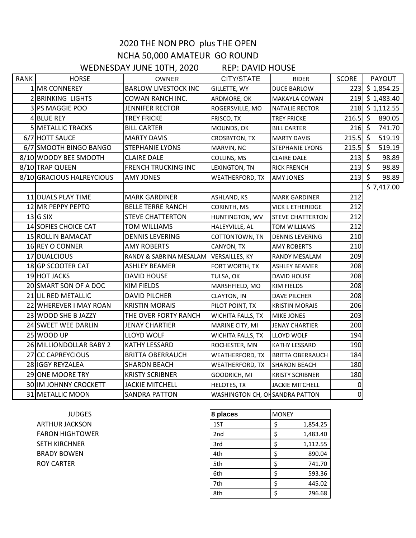## 2020 THE NON PRO plus THE OPEN NCHA 50,000 AMATEUR GO ROUND

WEDNESDAY JUNE 10TH, 2020 REP: DAVID HOUSE

| <b>RANK</b> | <b>HORSE</b>              | OWNER                       | CITY/STATE                      | <b>RIDER</b>            | <b>SCORE</b> | PAYOUT               |
|-------------|---------------------------|-----------------------------|---------------------------------|-------------------------|--------------|----------------------|
|             | 1 MR CONNEREY             | <b>BARLOW LIVESTOCK INC</b> | GILLETTE, WY                    | <b>DUCE BARLOW</b>      |              | 223 \$1,854.25       |
|             | 2 BRINKING LIGHTS         | COWAN RANCH INC.            | ARDMORE, OK                     | MAKAYLA COWAN           |              | $219 \mid 51,483.40$ |
|             | 3 PS MAGGIE POO           | <b>JENNIFER RECTOR</b>      | ROGERSVILLE, MO                 | <b>NATALIE RECTOR</b>   |              | 218 \$1,112.55       |
|             | 4 BLUE REY                | <b>TREY FRICKE</b>          | FRISCO, TX                      | <b>TREY FRICKE</b>      | $216.5$ \$   | 890.05               |
|             | 5 METALLIC TRACKS         | <b>BILL CARTER</b>          | MOUNDS, OK                      | <b>BILL CARTER</b>      | $216 \,$ \$  | 741.70               |
|             | 6/7 HOTT SAUCE            | <b>MARTY DAVIS</b>          | CROSBYTON, TX                   | <b>MARTY DAVIS</b>      | $215.5$ \$   | 519.19               |
|             | 6/7 SMOOTH BINGO BANGO    | <b>STEPHANIE LYONS</b>      | MARVIN, NC                      | <b>STEPHANIE LYONS</b>  | $215.5$ \$   | 519.19               |
|             | 8/10 WOODY BEE SMOOTH     | <b>CLAIRE DALE</b>          | COLLINS, MS                     | <b>CLAIRE DALE</b>      | $213 \mid 5$ | 98.89                |
|             | 8/10 TRAP QUEEN           | <b>FRENCH TRUCKING INC</b>  | LEXINGTON, TN                   | <b>RICK FRENCH</b>      | $213 \mid 5$ | 98.89                |
|             | 8/10 GRACIOUS HALREYCIOUS | <b>AMY JONES</b>            | <b>WEATHERFORD, TX</b>          | AMY JONES               | $213$ \$     | 98.89                |
|             |                           |                             |                                 |                         |              | \$7,417.00           |
|             | 11 DUALS PLAY TIME        | <b>MARK GARDINER</b>        | ASHLAND, KS                     | <b>MARK GARDINER</b>    | 212          |                      |
|             | 12 MR PEPPY PEPTO         | <b>BELLE TERRE RANCH</b>    | CORINTH, MS                     | VICK L ETHERIDGE        | 212          |                      |
|             | 13 <sub>IG</sub> SIX      | <b>STEVE CHATTERTON</b>     | HUNTINGTON, WV                  | <b>STEVE CHATTERTON</b> | 212          |                      |
|             | 14 SOFIES CHOICE CAT      | TOM WILLIAMS                | HALEYVILLE, AL                  | TOM WILLIAMS            | 212          |                      |
|             | 15 ROLLIN BAMACAT         | <b>DENNIS LEVERING</b>      | COTTONTOWN, TN                  | <b>DENNIS LEVERING</b>  | 210          |                      |
|             | 16 REY O CONNER           | <b>AMY ROBERTS</b>          | CANYON, TX                      | AMY ROBERTS             | 210          |                      |
|             | 17 DUALCIOUS              | RANDY & SABRINA MESALAM     | <b>VERSAILLES, KY</b>           | RANDY MESALAM           | 209          |                      |
|             | 18 GP SCOOTER CAT         | <b>ASHLEY BEAMER</b>        | FORT WORTH, TX                  | <b>ASHLEY BEAMER</b>    | 208          |                      |
|             | 19 HOT JACKS              | <b>DAVID HOUSE</b>          | TULSA, OK                       | <b>DAVID HOUSE</b>      | 208          |                      |
|             | 20 SMART SON OF A DOC     | <b>KIM FIELDS</b>           | MARSHFIELD, MO                  | <b>KIM FIELDS</b>       | 208          |                      |
|             | 21 LIL RED METALLIC       | <b>DAVID PILCHER</b>        | <b>CLAYTON, IN</b>              | DAVE PILCHER            | 208          |                      |
|             | 22 WHEREVER I MAY ROAN    | <b>KRISTIN MORAIS</b>       | PILOT POINT, TX                 | <b>KRISTIN MORAIS</b>   | 206          |                      |
|             | 23 WOOD SHE B JAZZY       | THE OVER FORTY RANCH        | WICHITA FALLS, TX               | MIKE JONES              | 203          |                      |
|             | 24 SWEET WEE DARLIN       | <b>JENAY CHARTIER</b>       | MARINE CITY, MI                 | JENAY CHARTIER          | 200          |                      |
|             | 25 WOOD UP                | <b>LLOYD WOLF</b>           | WICHITA FALLS, TX               | LLOYD WOLF              | 194          |                      |
|             | 26 MILLIONDOLLAR BABY 2   | KATHY LESSARD               | ROCHESTER, MN                   | KATHY LESSARD           | 190          |                      |
|             | 27 CC CAPREYCIOUS         | <b>BRITTA OBERRAUCH</b>     | WEATHERFORD, TX                 | <b>BRITTA OBERRAUCH</b> | 184          |                      |
|             | 28 IGGY REYZALEA          | <b>SHARON BEACH</b>         | WEATHERFORD, TX                 | <b>SHARON BEACH</b>     | 180          |                      |
|             | 29 ONE MOORE TRY          | <b>KRISTY SCRIBNER</b>      | GOODRICH, MI                    | <b>KRISTY SCRIBNER</b>  | 180          |                      |
|             | 30 IM JOHNNY CROCKETT     | <b>JACKIE MITCHELL</b>      | HELOTES, TX                     | <b>JACKIE MITCHELL</b>  | 0            |                      |
|             | 31 METALLIC MOON          | <b>SANDRA PATTON</b>        | WASHINGTON CH, OH SANDRA PATTON |                         | $\pmb{0}$    |                      |

ARTHUR JACKSON FARON HIGHTOWER SETH KIRCHNER BRADY BOWEN ROY CARTER

| <b>JUDGES</b>  | 8 places | <b>MONEY</b> |          |
|----------------|----------|--------------|----------|
| ACKSON         | 1ST      |              | 1,854.25 |
| <b>GHTOWER</b> | 2nd      |              | 1,483.40 |
| <b>HNER</b>    | 3rd      |              | 1,112.55 |
| WEN            | 4th      |              | 890.04   |
| ΕR             | 5th      |              | 741.70   |
|                | 6th      |              | 593.36   |
|                | 7th      |              | 445.02   |
|                | 8th      |              | 296.68   |